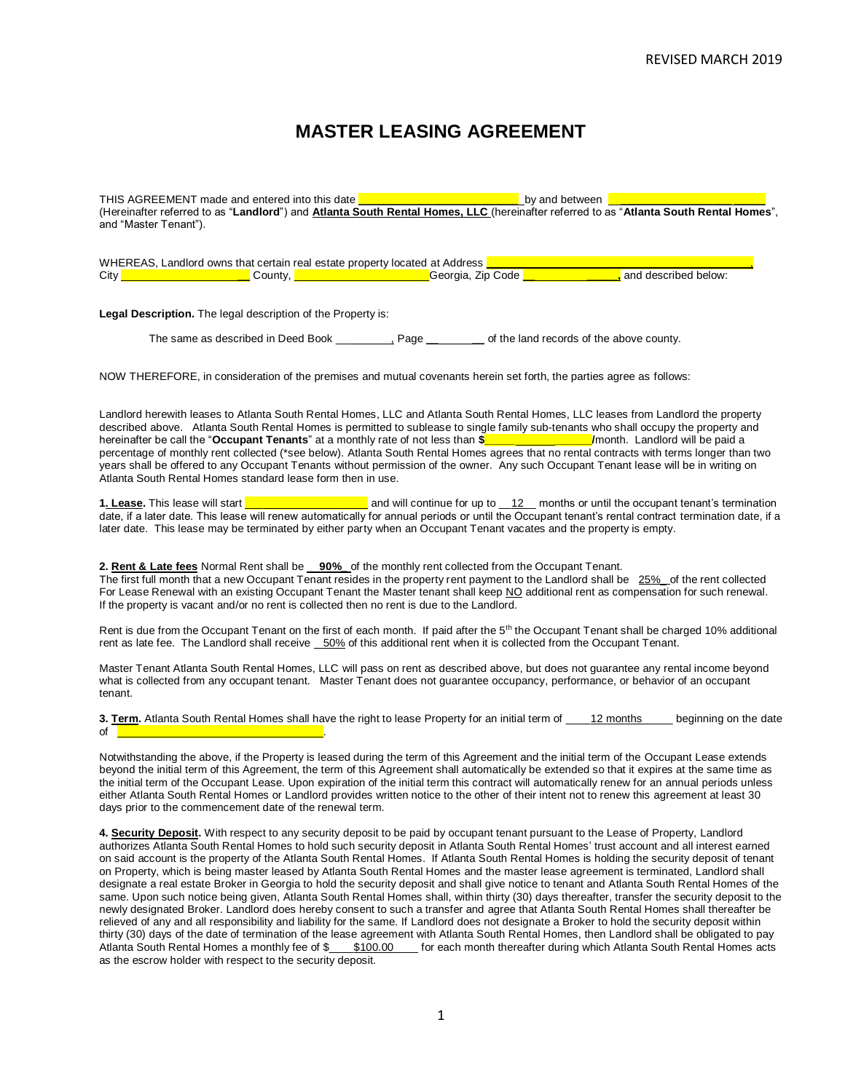# **MASTER LEASING AGREEMENT**

THIS AGREEMENT made and entered into this date **\_\_\_\_\_\_\_\_\_\_\_\_\_\_\_\_\_\_\_\_\_\_\_\_\_\_** by and between \_\_**\_\_\_\_\_\_\_\_\_\_\_\_\_\_\_\_\_\_ \_\_\_\_\_** (Hereinafter referred to as "**Landlord**") and **Atlanta South Rental Homes, LLC** (hereinafter referred to as "**Atlanta South Rental Homes**", and "Master Tenant").

|      |         | WHEREAS. Landlord owns that certain real estate property located at Address |                      |
|------|---------|-----------------------------------------------------------------------------|----------------------|
| City | Count∨. | Georgia, Zip Code                                                           | and described below: |

**Legal Description.** The legal description of the Property is:

The same as described in Deed Book \_\_\_\_\_, Page **\_\_ \_\_** of the land records of the above county.

NOW THEREFORE, in consideration of the premises and mutual covenants herein set forth, the parties agree as follows:

Landlord herewith leases to Atlanta South Rental Homes, LLC and Atlanta South Rental Homes, LLC leases from Landlord the property described above. Atlanta South Rental Homes is permitted to sublease to single family sub-tenants who shall occupy the property and hereinafter be call the "**Occupant Tenants**" at a monthly rate of not less than **\$\_\_\_\_\_ \_\_\_\_\_\_/**month. Landlord will be paid a percentage of monthly rent collected (\*see below). Atlanta South Rental Homes agrees that no rental contracts with terms longer than two years shall be offered to any Occupant Tenants without permission of the owner. Any such Occupant Tenant lease will be in writing on Atlanta South Rental Homes standard lease form then in use.

**1. Lease.** This lease will start **\_\_\_\_\_\_\_\_\_\_\_\_\_\_\_\_\_\_\_\_** and will continue for up to \_\_12\_\_ months or until the occupant tenant's termination date, if a later date. This lease will renew automatically for annual periods or until the Occupant tenant's rental contract termination date, if a later date. This lease may be terminated by either party when an Occupant Tenant vacates and the property is empty.

**2. Rent & Late fees** Normal Rent shall be **90%\_** of the monthly rent collected from the Occupant Tenant. The first full month that a new Occupant Tenant resides in the property rent payment to the Landlord shall be 25%\_ of the rent collected For Lease Renewal with an existing Occupant Tenant the Master tenant shall keep NO additional rent as compensation for such renewal. If the property is vacant and/or no rent is collected then no rent is due to the Landlord.

Rent is due from the Occupant Tenant on the first of each month. If paid after the 5<sup>th</sup> the Occupant Tenant shall be charged 10% additional rent as late fee. The Landlord shall receive 50% of this additional rent when it is collected from the Occupant Tenant.

Master Tenant Atlanta South Rental Homes, LLC will pass on rent as described above, but does not guarantee any rental income beyond what is collected from any occupant tenant. Master Tenant does not guarantee occupancy, performance, or behavior of an occupant tenant.

**3. Term.** Atlanta South Rental Homes shall have the right to lease Property for an initial term of \_\_\_\_12 months\_\_\_\_\_ beginning on the date of \_\_\_\_\_\_\_\_\_\_\_\_\_\_\_\_\_\_\_\_\_\_\_\_\_\_\_\_\_\_\_.

Notwithstanding the above, if the Property is leased during the term of this Agreement and the initial term of the Occupant Lease extends beyond the initial term of this Agreement, the term of this Agreement shall automatically be extended so that it expires at the same time as the initial term of the Occupant Lease. Upon expiration of the initial term this contract will automatically renew for an annual periods unless either Atlanta South Rental Homes or Landlord provides written notice to the other of their intent not to renew this agreement at least 30 days prior to the commencement date of the renewal term.

**4. Security Deposit.** With respect to any security deposit to be paid by occupant tenant pursuant to the Lease of Property, Landlord authorizes Atlanta South Rental Homes to hold such security deposit in Atlanta South Rental Homes' trust account and all interest earned on said account is the property of the Atlanta South Rental Homes. If Atlanta South Rental Homes is holding the security deposit of tenant on Property, which is being master leased by Atlanta South Rental Homes and the master lease agreement is terminated, Landlord shall designate a real estate Broker in Georgia to hold the security deposit and shall give notice to tenant and Atlanta South Rental Homes of the same. Upon such notice being given, Atlanta South Rental Homes shall, within thirty (30) days thereafter, transfer the security deposit to the newly designated Broker. Landlord does hereby consent to such a transfer and agree that Atlanta South Rental Homes shall thereafter be relieved of any and all responsibility and liability for the same. If Landlord does not designate a Broker to hold the security deposit within thirty (30) days of the date of termination of the lease agreement with Atlanta South Rental Homes, then Landlord shall be obligated to pay Atlanta South Rental Homes a monthly fee of \$\_\_\_\_\$100.00\_\_\_\_ for each month thereafter during which Atlanta South Rental Homes acts as the escrow holder with respect to the security deposit.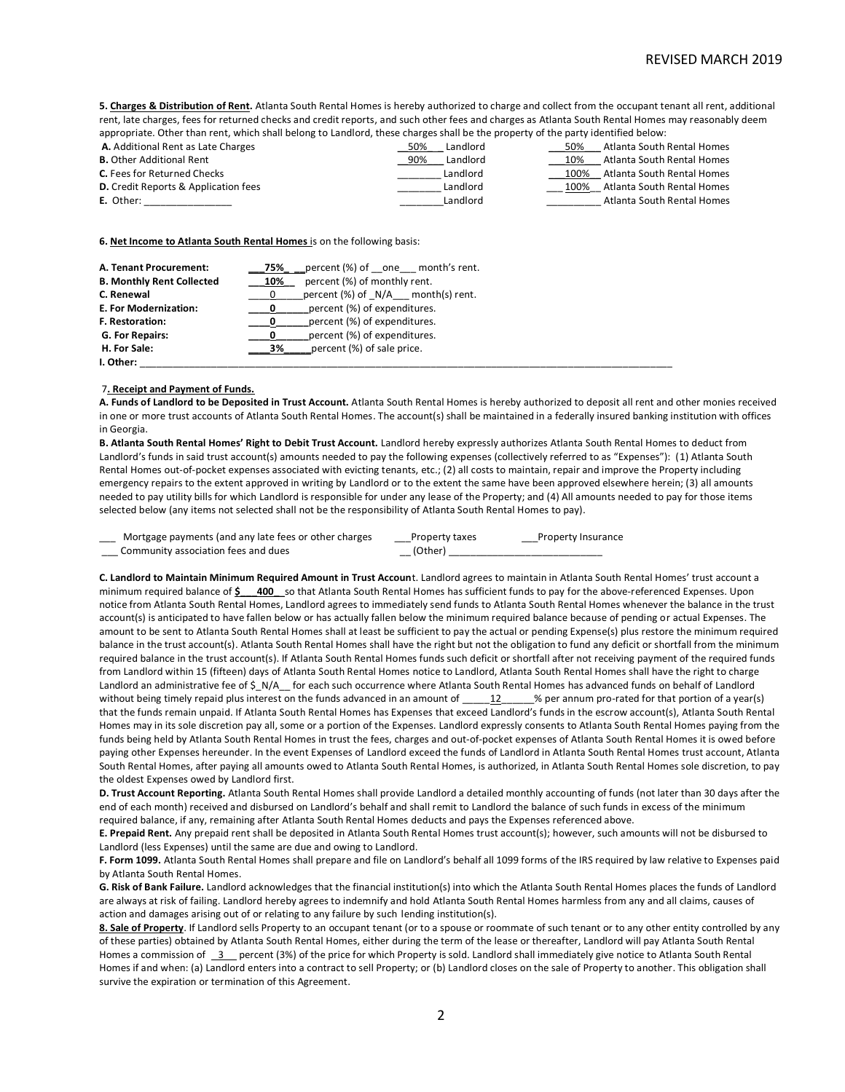**5. Charges & Distribution of Rent.** Atlanta South Rental Homes is hereby authorized to charge and collect from the occupant tenant all rent, additional rent, late charges, fees for returned checks and credit reports, and such other fees and charges as Atlanta South Rental Homes may reasonably deem appropriate. Other than rent, which shall belong to Landlord, these charges shall be the property of the party identified below:

| appropriate, attici than rent, miller shah actoring to Edilardia, these changes shah ac the property of the party members welchi |                 |      |                            |
|----------------------------------------------------------------------------------------------------------------------------------|-----------------|------|----------------------------|
| A. Additional Rent as Late Charges                                                                                               | Landlord<br>50% | 50%  | Atlanta South Rental Homes |
| <b>B.</b> Other Additional Rent                                                                                                  | Landlord<br>90% | 10%  | Atlanta South Rental Homes |
| <b>C.</b> Fees for Returned Checks                                                                                               | Landlord        | 100% | Atlanta South Rental Homes |
| <b>D.</b> Credit Reports & Application fees                                                                                      | Landlord        | 100% | Atlanta South Rental Homes |
| <b>E.</b> Other:                                                                                                                 | Landlord        |      | Atlanta South Rental Homes |
|                                                                                                                                  |                 |      |                            |

**6. Net Income to Atlanta South Rental Homes** is on the following basis:

| A. Tenant Procurement:           | 75%         | percent (%) of one month's rent.  |
|----------------------------------|-------------|-----------------------------------|
| <b>B. Monthly Rent Collected</b> | 10%         | percent (%) of monthly rent.      |
| C. Renewal                       | 0           | percent (%) of N/A month(s) rent. |
| E. For Modernization:            | $\mathbf 0$ | percent (%) of expenditures.      |
| <b>F. Restoration:</b>           | 0           | percent (%) of expenditures.      |
| G. For Repairs:                  |             | percent (%) of expenditures.      |
| H. For Sale:                     | 3%          | percent (%) of sale price.        |
| I. Other:                        |             |                                   |

## 7**. Receipt and Payment of Funds.**

**A. Funds of Landlord to be Deposited in Trust Account.** Atlanta South Rental Homes is hereby authorized to deposit all rent and other monies received in one or more trust accounts of Atlanta South Rental Homes. The account(s) shall be maintained in a federally insured banking institution with offices in Georgia.

**B. Atlanta South Rental Homes' Right to Debit Trust Account.** Landlord hereby expressly authorizes Atlanta South Rental Homes to deduct from Landlord's funds in said trust account(s) amounts needed to pay the following expenses (collectively referred to as "Expenses"): (1) Atlanta South Rental Homes out-of-pocket expenses associated with evicting tenants, etc.; (2) all costs to maintain, repair and improve the Property including emergency repairs to the extent approved in writing by Landlord or to the extent the same have been approved elsewhere herein; (3) all amounts needed to pay utility bills for which Landlord is responsible for under any lease of the Property; and (4) All amounts needed to pay for those items selected below (any items not selected shall not be the responsibility of Atlanta South Rental Homes to pay).

| Mortgage payments (and any late fees or other charges | Property taxes | <b>Property Insurance</b> |
|-------------------------------------------------------|----------------|---------------------------|
| Community association fees and dues                   | (Other)        |                           |

**C. Landlord to Maintain Minimum Required Amount in Trust Accoun**t. Landlord agrees to maintain in Atlanta South Rental Homes' trust account a minimum required balance of **\$\_\_\_400\_**\_so that Atlanta South Rental Homes has sufficient funds to pay for the above-referenced Expenses. Upon notice from Atlanta South Rental Homes, Landlord agrees to immediately send funds to Atlanta South Rental Homes whenever the balance in the trust account(s) is anticipated to have fallen below or has actually fallen below the minimum required balance because of pending or actual Expenses. The amount to be sent to Atlanta South Rental Homes shall at least be sufficient to pay the actual or pending Expense(s) plus restore the minimum required balance in the trust account(s). Atlanta South Rental Homes shall have the right but not the obligation to fund any deficit or shortfall from the minimum required balance in the trust account(s). If Atlanta South Rental Homes funds such deficit or shortfall after not receiving payment of the required funds from Landlord within 15 (fifteen) days of Atlanta South Rental Homes notice to Landlord, Atlanta South Rental Homes shall have the right to charge Landlord an administrative fee of \$ N/A for each such occurrence where Atlanta South Rental Homes has advanced funds on behalf of Landlord without being timely repaid plus interest on the funds advanced in an amount of  $\underline{\hspace{1cm}}12\qquad12}$  % per annum pro-rated for that portion of a year(s) that the funds remain unpaid. If Atlanta South Rental Homes has Expenses that exceed Landlord's funds in the escrow account(s), Atlanta South Rental Homes may in its sole discretion pay all, some or a portion of the Expenses. Landlord expressly consents to Atlanta South Rental Homes paying from the funds being held by Atlanta South Rental Homes in trust the fees, charges and out-of-pocket expenses of Atlanta South Rental Homes it is owed before paying other Expenses hereunder. In the event Expenses of Landlord exceed the funds of Landlord in Atlanta South Rental Homes trust account, Atlanta South Rental Homes, after paying all amounts owed to Atlanta South Rental Homes, is authorized, in Atlanta South Rental Homes sole discretion, to pay the oldest Expenses owed by Landlord first.

**D. Trust Account Reporting.** Atlanta South Rental Homes shall provide Landlord a detailed monthly accounting of funds (not later than 30 days after the end of each month) received and disbursed on Landlord's behalf and shall remit to Landlord the balance of such funds in excess of the minimum required balance, if any, remaining after Atlanta South Rental Homes deducts and pays the Expenses referenced above.

**E. Prepaid Rent.** Any prepaid rent shall be deposited in Atlanta South Rental Homes trust account(s); however, such amounts will not be disbursed to Landlord (less Expenses) until the same are due and owing to Landlord.

**F. Form 1099.** Atlanta South Rental Homes shall prepare and file on Landlord's behalf all 1099 forms of the IRS required by law relative to Expenses paid by Atlanta South Rental Homes.

**G. Risk of Bank Failure.** Landlord acknowledges that the financial institution(s) into which the Atlanta South Rental Homes places the funds of Landlord are always at risk of failing. Landlord hereby agrees to indemnify and hold Atlanta South Rental Homes harmless from any and all claims, causes of action and damages arising out of or relating to any failure by such lending institution(s).

**8. Sale of Property**. If Landlord sells Property to an occupant tenant (or to a spouse or roommate of such tenant or to any other entity controlled by any of these parties) obtained by Atlanta South Rental Homes, either during the term of the lease or thereafter, Landlord will pay Atlanta South Rental Homes a commission of 3 percent (3%) of the price for which Property is sold. Landlord shall immediately give notice to Atlanta South Rental Homes if and when: (a) Landlord enters into a contract to sell Property; or (b) Landlord closes on the sale of Property to another. This obligation shall survive the expiration or termination of this Agreement.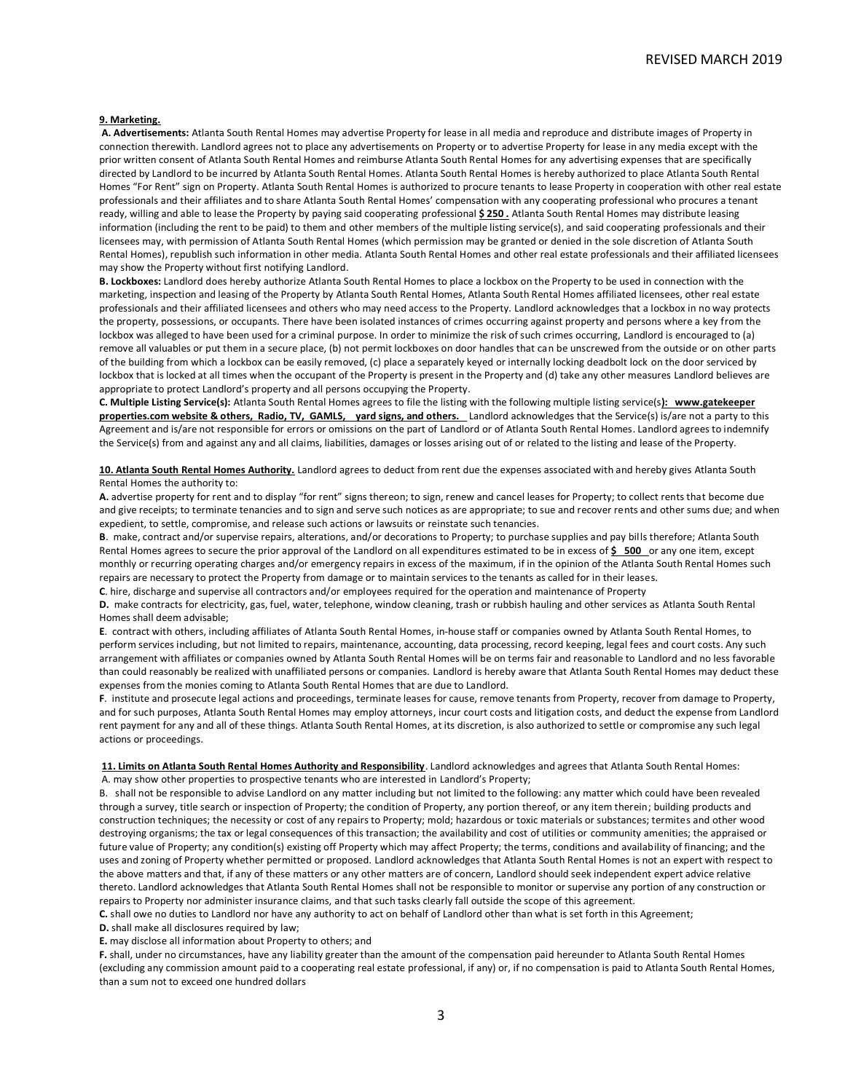#### **9. Marketing.**

**A. Advertisements:** Atlanta South Rental Homes may advertise Property for lease in all media and reproduce and distribute images of Property in connection therewith. Landlord agrees not to place any advertisements on Property or to advertise Property for lease in any media except with the prior written consent of Atlanta South Rental Homes and reimburse Atlanta South Rental Homes for any advertising expenses that are specifically directed by Landlord to be incurred by Atlanta South Rental Homes. Atlanta South Rental Homes is hereby authorized to place Atlanta South Rental Homes "For Rent" sign on Property. Atlanta South Rental Homes is authorized to procure tenants to lease Property in cooperation with other real estate professionals and their affiliates and to share Atlanta South Rental Homes' compensation with any cooperating professional who procures a tenant ready, willing and able to lease the Property by paying said cooperating professional **\$ 250 .** Atlanta South Rental Homes may distribute leasing information (including the rent to be paid) to them and other members of the multiple listing service(s), and said cooperating professionals and their licensees may, with permission of Atlanta South Rental Homes (which permission may be granted or denied in the sole discretion of Atlanta South Rental Homes), republish such information in other media. Atlanta South Rental Homes and other real estate professionals and their affiliated licensees may show the Property without first notifying Landlord.

**B. Lockboxes:** Landlord does hereby authorize Atlanta South Rental Homes to place a lockbox on the Property to be used in connection with the marketing, inspection and leasing of the Property by Atlanta South Rental Homes, Atlanta South Rental Homes affiliated licensees, other real estate professionals and their affiliated licensees and others who may need access to the Property. Landlord acknowledges that a lockbox in no way protects the property, possessions, or occupants. There have been isolated instances of crimes occurring against property and persons where a key from the lockbox was alleged to have been used for a criminal purpose. In order to minimize the risk of such crimes occurring, Landlord is encouraged to (a) remove all valuables or put them in a secure place, (b) not permit lockboxes on door handles that can be unscrewed from the outside or on other parts of the building from which a lockbox can be easily removed, (c) place a separately keyed or internally locking deadbolt lock on the door serviced by lockbox that is locked at all times when the occupant of the Property is present in the Property and (d) take any other measures Landlord believes are appropriate to protect Landlord's property and all persons occupying the Property.

**C. Multiple Listing Service(s):** Atlanta South Rental Homes agrees to file the listing with the following multiple listing service(s**): www.gatekeeper properties.com website & others, Radio, TV, GAMLS, yard signs, and others.** Landlord acknowledges that the Service(s) is/are not a party to this Agreement and is/are not responsible for errors or omissions on the part of Landlord or of Atlanta South Rental Homes. Landlord agrees to indemnify the Service(s) from and against any and all claims, liabilities, damages or losses arising out of or related to the listing and lease of the Property.

**10. Atlanta South Rental Homes Authority.** Landlord agrees to deduct from rent due the expenses associated with and hereby gives Atlanta South Rental Homes the authority to:

**A.** advertise property for rent and to display "for rent" signs thereon; to sign, renew and cancel leases for Property; to collect rents that become due and give receipts; to terminate tenancies and to sign and serve such notices as are appropriate; to sue and recover rents and other sums due; and when expedient, to settle, compromise, and release such actions or lawsuits or reinstate such tenancies.

**B**. make, contract and/or supervise repairs, alterations, and/or decorations to Property; to purchase supplies and pay bills therefore; Atlanta South Rental Homes agrees to secure the prior approval of the Landlord on all expenditures estimated to be in excess of  $\frac{2}{5}$  500 or any one item, except monthly or recurring operating charges and/or emergency repairs in excess of the maximum, if in the opinion of the Atlanta South Rental Homes such repairs are necessary to protect the Property from damage or to maintain services to the tenants as called for in their leases.

**C**. hire, discharge and supervise all contractors and/or employees required for the operation and maintenance of Property

**D.** make contracts for electricity, gas, fuel, water, telephone, window cleaning, trash or rubbish hauling and other services as Atlanta South Rental Homes shall deem advisable;

**E**. contract with others, including affiliates of Atlanta South Rental Homes, in-house staff or companies owned by Atlanta South Rental Homes, to perform services including, but not limited to repairs, maintenance, accounting, data processing, record keeping, legal fees and court costs. Any such arrangement with affiliates or companies owned by Atlanta South Rental Homes will be on terms fair and reasonable to Landlord and no less favorable than could reasonably be realized with unaffiliated persons or companies. Landlord is hereby aware that Atlanta South Rental Homes may deduct these expenses from the monies coming to Atlanta South Rental Homes that are due to Landlord.

**F**. institute and prosecute legal actions and proceedings, terminate leases for cause, remove tenants from Property, recover from damage to Property, and for such purposes, Atlanta South Rental Homes may employ attorneys, incur court costs and litigation costs, and deduct the expense from Landlord rent payment for any and all of these things. Atlanta South Rental Homes, at its discretion, is also authorized to settle or compromise any such legal actions or proceedings.

**11. Limits on Atlanta South Rental Homes Authority and Responsibility**. Landlord acknowledges and agrees that Atlanta South Rental Homes: A. may show other properties to prospective tenants who are interested in Landlord's Property;

B. shall not be responsible to advise Landlord on any matter including but not limited to the following: any matter which could have been revealed through a survey, title search or inspection of Property; the condition of Property, any portion thereof, or any item therein; building products and construction techniques; the necessity or cost of any repairs to Property; mold; hazardous or toxic materials or substances; termites and other wood destroying organisms; the tax or legal consequences of this transaction; the availability and cost of utilities or community amenities; the appraised or future value of Property; any condition(s) existing off Property which may affect Property; the terms, conditions and availability of financing; and the uses and zoning of Property whether permitted or proposed. Landlord acknowledges that Atlanta South Rental Homes is not an expert with respect to the above matters and that, if any of these matters or any other matters are of concern, Landlord should seek independent expert advice relative thereto. Landlord acknowledges that Atlanta South Rental Homes shall not be responsible to monitor or supervise any portion of any construction or repairs to Property nor administer insurance claims, and that such tasks clearly fall outside the scope of this agreement.

**C.** shall owe no duties to Landlord nor have any authority to act on behalf of Landlord other than what is set forth in this Agreement;

**D.** shall make all disclosures required by law;

**E.** may disclose all information about Property to others; and

**F.** shall, under no circumstances, have any liability greater than the amount of the compensation paid hereunder to Atlanta South Rental Homes (excluding any commission amount paid to a cooperating real estate professional, if any) or, if no compensation is paid to Atlanta South Rental Homes, than a sum not to exceed one hundred dollars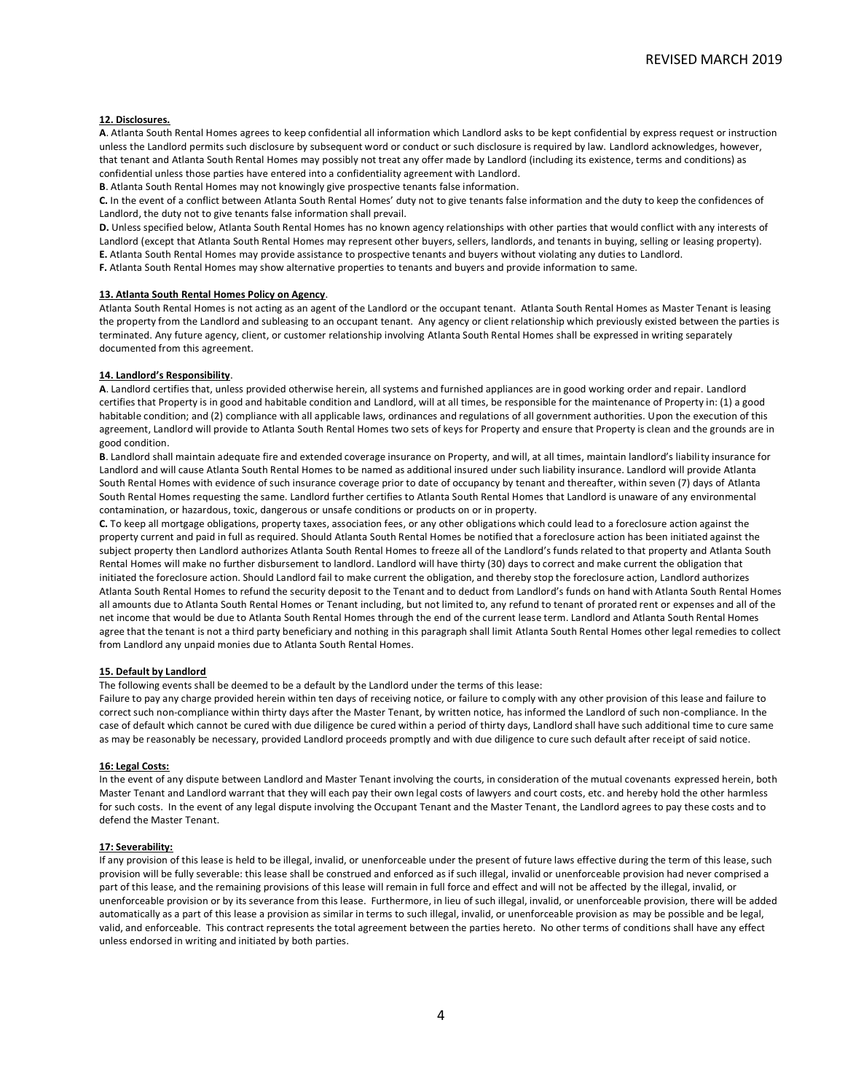### **12. Disclosures.**

**A**. Atlanta South Rental Homes agrees to keep confidential all information which Landlord asks to be kept confidential by express request or instruction unless the Landlord permits such disclosure by subsequent word or conduct or such disclosure is required by law. Landlord acknowledges, however, that tenant and Atlanta South Rental Homes may possibly not treat any offer made by Landlord (including its existence, terms and conditions) as confidential unless those parties have entered into a confidentiality agreement with Landlord.

**B**. Atlanta South Rental Homes may not knowingly give prospective tenants false information.

**C.** In the event of a conflict between Atlanta South Rental Homes' duty not to give tenants false information and the duty to keep the confidences of Landlord, the duty not to give tenants false information shall prevail.

**D.** Unless specified below, Atlanta South Rental Homes has no known agency relationships with other parties that would conflict with any interests of Landlord (except that Atlanta South Rental Homes may represent other buyers, sellers, landlords, and tenants in buying, selling or leasing property). **E.** Atlanta South Rental Homes may provide assistance to prospective tenants and buyers without violating any duties to Landlord. **F.** Atlanta South Rental Homes may show alternative properties to tenants and buyers and provide information to same.

#### **13. Atlanta South Rental Homes Policy on Agency**.

Atlanta South Rental Homes is not acting as an agent of the Landlord or the occupant tenant. Atlanta South Rental Homes as Master Tenant is leasing the property from the Landlord and subleasing to an occupant tenant. Any agency or client relationship which previously existed between the parties is terminated. Any future agency, client, or customer relationship involving Atlanta South Rental Homes shall be expressed in writing separately documented from this agreement.

#### **14. Landlord's Responsibility**.

**A**. Landlord certifies that, unless provided otherwise herein, all systems and furnished appliances are in good working order and repair. Landlord certifies that Property is in good and habitable condition and Landlord, will at all times, be responsible for the maintenance of Property in: (1) a good habitable condition; and (2) compliance with all applicable laws, ordinances and regulations of all government authorities. Upon the execution of this agreement, Landlord will provide to Atlanta South Rental Homes two sets of keys for Property and ensure that Property is clean and the grounds are in good condition.

**B**. Landlord shall maintain adequate fire and extended coverage insurance on Property, and will, at all times, maintain landlord's liability insurance for Landlord and will cause Atlanta South Rental Homes to be named as additional insured under such liability insurance. Landlord will provide Atlanta South Rental Homes with evidence of such insurance coverage prior to date of occupancy by tenant and thereafter, within seven (7) days of Atlanta South Rental Homes requesting the same. Landlord further certifies to Atlanta South Rental Homes that Landlord is unaware of any environmental contamination, or hazardous, toxic, dangerous or unsafe conditions or products on or in property.

**C.** To keep all mortgage obligations, property taxes, association fees, or any other obligations which could lead to a foreclosure action against the property current and paid in full as required. Should Atlanta South Rental Homes be notified that a foreclosure action has been initiated against the subject property then Landlord authorizes Atlanta South Rental Homes to freeze all of the Landlord's funds related to that property and Atlanta South Rental Homes will make no further disbursement to landlord. Landlord will have thirty (30) days to correct and make current the obligation that initiated the foreclosure action. Should Landlord fail to make current the obligation, and thereby stop the foreclosure action, Landlord authorizes Atlanta South Rental Homes to refund the security deposit to the Tenant and to deduct from Landlord's funds on hand with Atlanta South Rental Homes all amounts due to Atlanta South Rental Homes or Tenant including, but not limited to, any refund to tenant of prorated rent or expenses and all of the net income that would be due to Atlanta South Rental Homes through the end of the current lease term. Landlord and Atlanta South Rental Homes agree that the tenant is not a third party beneficiary and nothing in this paragraph shall limit Atlanta South Rental Homes other legal remedies to collect from Landlord any unpaid monies due to Atlanta South Rental Homes.

#### **15. Default by Landlord**

The following events shall be deemed to be a default by the Landlord under the terms of this lease:

Failure to pay any charge provided herein within ten days of receiving notice, or failure to comply with any other provision of this lease and failure to correct such non-compliance within thirty days after the Master Tenant, by written notice, has informed the Landlord of such non-compliance. In the case of default which cannot be cured with due diligence be cured within a period of thirty days, Landlord shall have such additional time to cure same as may be reasonably be necessary, provided Landlord proceeds promptly and with due diligence to cure such default after receipt of said notice.

#### **16: Legal Costs:**

In the event of any dispute between Landlord and Master Tenant involving the courts, in consideration of the mutual covenants expressed herein, both Master Tenant and Landlord warrant that they will each pay their own legal costs of lawyers and court costs, etc. and hereby hold the other harmless for such costs. In the event of any legal dispute involving the Occupant Tenant and the Master Tenant, the Landlord agrees to pay these costs and to defend the Master Tenant.

#### **17: Severability:**

If any provision of this lease is held to be illegal, invalid, or unenforceable under the present of future laws effective during the term of this lease, such provision will be fully severable: this lease shall be construed and enforced as if such illegal, invalid or unenforceable provision had never comprised a part of this lease, and the remaining provisions of this lease will remain in full force and effect and will not be affected by the illegal, invalid, or unenforceable provision or by its severance from this lease. Furthermore, in lieu of such illegal, invalid, or unenforceable provision, there will be added automatically as a part of this lease a provision as similar in terms to such illegal, invalid, or unenforceable provision as may be possible and be legal, valid, and enforceable. This contract represents the total agreement between the parties hereto. No other terms of conditions shall have any effect unless endorsed in writing and initiated by both parties.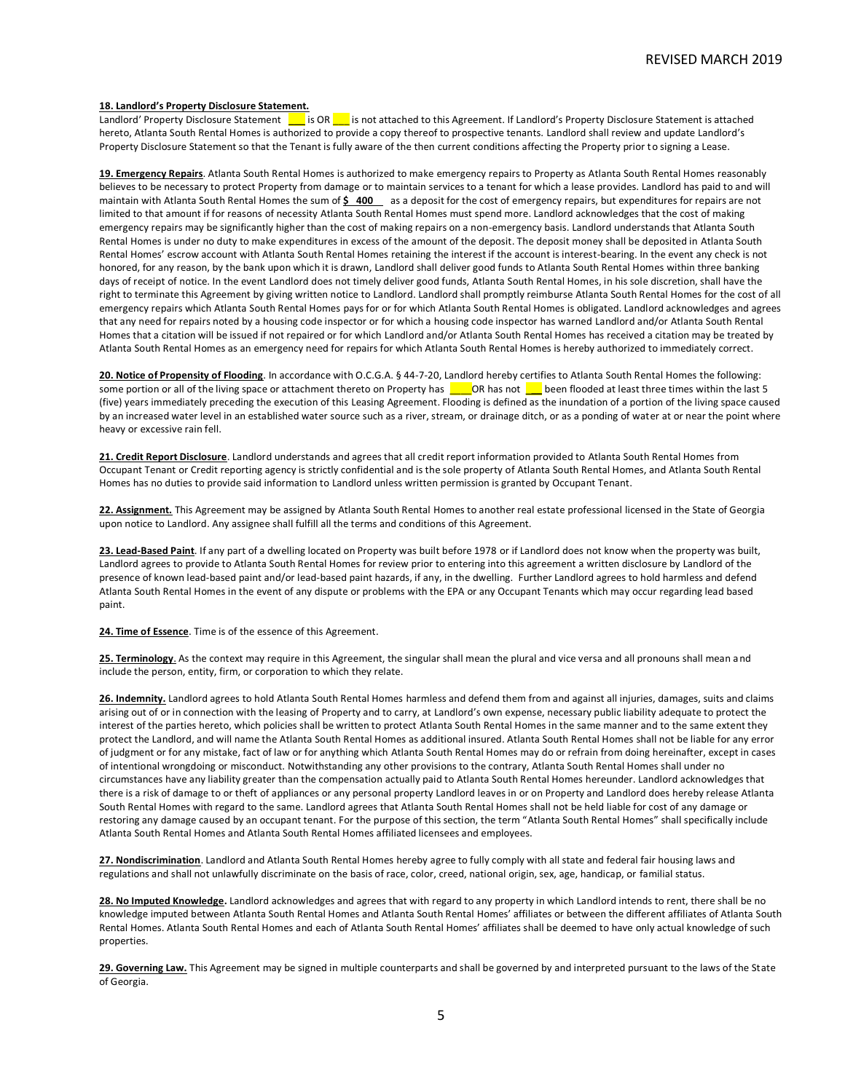# **18. Landlord's Property Disclosure Statement.**

Landlord' Property Disclosure Statement **| i**s OR | is not attached to this Agreement. If Landlord's Property Disclosure Statement is attached hereto, Atlanta South Rental Homes is authorized to provide a copy thereof to prospective tenants. Landlord shall review and update Landlord's Property Disclosure Statement so that the Tenant is fully aware of the then current conditions affecting the Property prior to signing a Lease.

**19. Emergency Repairs**. Atlanta South Rental Homes is authorized to make emergency repairs to Property as Atlanta South Rental Homes reasonably believes to be necessary to protect Property from damage or to maintain services to a tenant for which a lease provides. Landlord has paid to and will maintain with Atlanta South Rental Homes the sum of  $\frac{200}{100}$  as a deposit for the cost of emergency repairs, but expenditures for repairs are not limited to that amount if for reasons of necessity Atlanta South Rental Homes must spend more. Landlord acknowledges that the cost of making emergency repairs may be significantly higher than the cost of making repairs on a non-emergency basis. Landlord understands that Atlanta South Rental Homes is under no duty to make expenditures in excess of the amount of the deposit. The deposit money shall be deposited in Atlanta South Rental Homes' escrow account with Atlanta South Rental Homes retaining the interest if the account is interest-bearing. In the event any check is not honored, for any reason, by the bank upon which it is drawn, Landlord shall deliver good funds to Atlanta South Rental Homes within three banking days of receipt of notice. In the event Landlord does not timely deliver good funds, Atlanta South Rental Homes, in his sole discretion, shall have the right to terminate this Agreement by giving written notice to Landlord. Landlord shall promptly reimburse Atlanta South Rental Homes for the cost of all emergency repairs which Atlanta South Rental Homes pays for or for which Atlanta South Rental Homes is obligated. Landlord acknowledges and agrees that any need for repairs noted by a housing code inspector or for which a housing code inspector has warned Landlord and/or Atlanta South Rental Homes that a citation will be issued if not repaired or for which Landlord and/or Atlanta South Rental Homes has received a citation may be treated by Atlanta South Rental Homes as an emergency need for repairs for which Atlanta South Rental Homes is hereby authorized to immediately correct.

**20. Notice of Propensity of Flooding**. In accordance with O.C.G.A. § 44-7-20, Landlord hereby certifies to Atlanta South Rental Homes the following: some portion or all of the living space or attachment thereto on Property has **COR** has not **L** been flooded at least three times within the last 5 (five) years immediately preceding the execution of this Leasing Agreement. Flooding is defined as the inundation of a portion of the living space caused by an increased water level in an established water source such as a river, stream, or drainage ditch, or as a ponding of water at or near the point where heavy or excessive rain fell.

**21. Credit Report Disclosure**. Landlord understands and agrees that all credit report information provided to Atlanta South Rental Homes from Occupant Tenant or Credit reporting agency is strictly confidential and is the sole property of Atlanta South Rental Homes, and Atlanta South Rental Homes has no duties to provide said information to Landlord unless written permission is granted by Occupant Tenant.

**22. Assignment.** This Agreement may be assigned by Atlanta South Rental Homes to another real estate professional licensed in the State of Georgia upon notice to Landlord. Any assignee shall fulfill all the terms and conditions of this Agreement.

**23. Lead-Based Paint**. If any part of a dwelling located on Property was built before 1978 or if Landlord does not know when the property was built, Landlord agrees to provide to Atlanta South Rental Homes for review prior to entering into this agreement a written disclosure by Landlord of the presence of known lead-based paint and/or lead-based paint hazards, if any, in the dwelling. Further Landlord agrees to hold harmless and defend Atlanta South Rental Homes in the event of any dispute or problems with the EPA or any Occupant Tenants which may occur regarding lead based paint.

**24. Time of Essence**. Time is of the essence of this Agreement.

25. Terminology. As the context may require in this Agreement, the singular shall mean the plural and vice versa and all pronouns shall mean and include the person, entity, firm, or corporation to which they relate.

26. Indemnity. Landlord agrees to hold Atlanta South Rental Homes harmless and defend them from and against all injuries, damages, suits and claims arising out of or in connection with the leasing of Property and to carry, at Landlord's own expense, necessary public liability adequate to protect the interest of the parties hereto, which policies shall be written to protect Atlanta South Rental Homes in the same manner and to the same extent they protect the Landlord, and will name the Atlanta South Rental Homes as additional insured. Atlanta South Rental Homes shall not be liable for any error of judgment or for any mistake, fact of law or for anything which Atlanta South Rental Homes may do or refrain from doing hereinafter, except in cases of intentional wrongdoing or misconduct. Notwithstanding any other provisions to the contrary, Atlanta South Rental Homes shall under no circumstances have any liability greater than the compensation actually paid to Atlanta South Rental Homes hereunder. Landlord acknowledges that there is a risk of damage to or theft of appliances or any personal property Landlord leaves in or on Property and Landlord does hereby release Atlanta South Rental Homes with regard to the same. Landlord agrees that Atlanta South Rental Homes shall not be held liable for cost of any damage or restoring any damage caused by an occupant tenant. For the purpose of this section, the term "Atlanta South Rental Homes" shall specifically include Atlanta South Rental Homes and Atlanta South Rental Homes affiliated licensees and employees.

**27. Nondiscrimination**. Landlord and Atlanta South Rental Homes hereby agree to fully comply with all state and federal fair housing laws and regulations and shall not unlawfully discriminate on the basis of race, color, creed, national origin, sex, age, handicap, or familial status.

**28. No Imputed Knowledge.** Landlord acknowledges and agrees that with regard to any property in which Landlord intends to rent, there shall be no knowledge imputed between Atlanta South Rental Homes and Atlanta South Rental Homes' affiliates or between the different affiliates of Atlanta South Rental Homes. Atlanta South Rental Homes and each of Atlanta South Rental Homes' affiliates shall be deemed to have only actual knowledge of such properties.

29. Governing Law. This Agreement may be signed in multiple counterparts and shall be governed by and interpreted pursuant to the laws of the State of Georgia.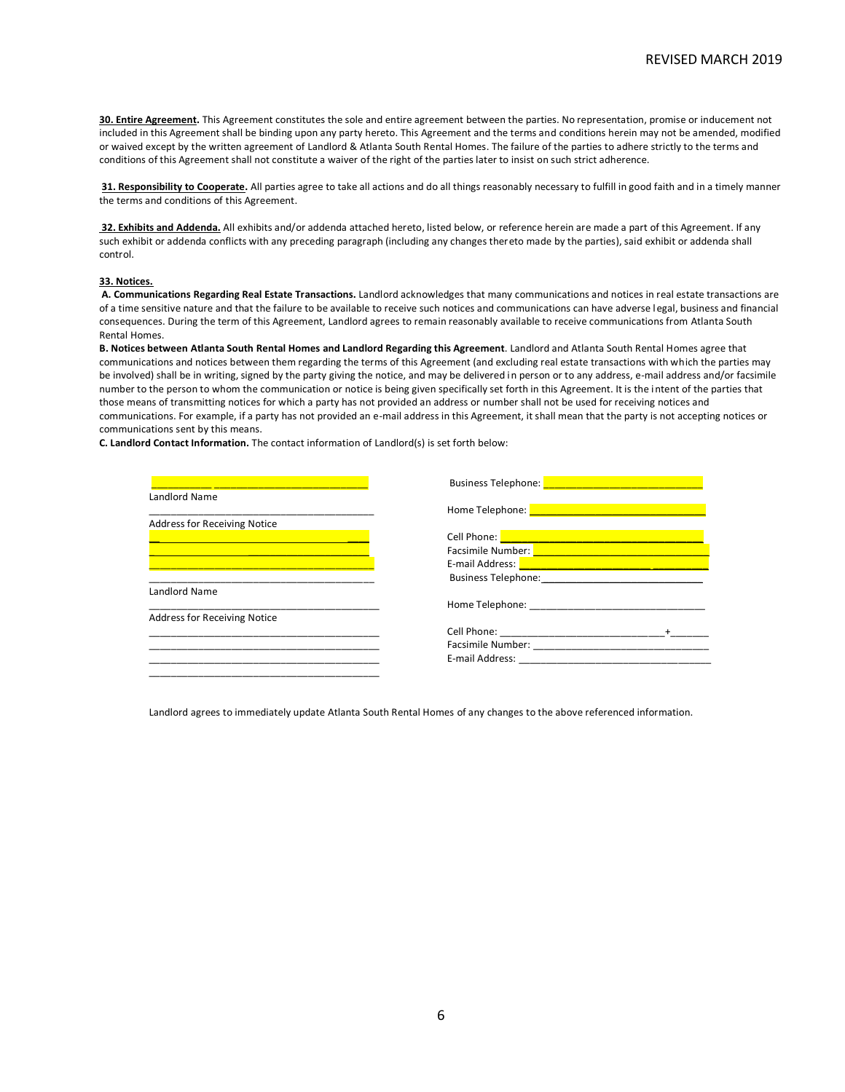**30. Entire Agreement.** This Agreement constitutes the sole and entire agreement between the parties. No representation, promise or inducement not included in this Agreement shall be binding upon any party hereto. This Agreement and the terms and conditions herein may not be amended, modified or waived except by the written agreement of Landlord & Atlanta South Rental Homes. The failure of the parties to adhere strictly to the terms and conditions of this Agreement shall not constitute a waiver of the right of the parties later to insist on such strict adherence.

**31. Responsibility to Cooperate.** All parties agree to take all actions and do all things reasonably necessary to fulfill in good faith and in a timely manner the terms and conditions of this Agreement.

**32. Exhibits and Addenda.** All exhibits and/or addenda attached hereto, listed below, or reference herein are made a part of this Agreement. If any such exhibit or addenda conflicts with any preceding paragraph (including any changes thereto made by the parties), said exhibit or addenda shall control.

## **33. Notices.**

**A. Communications Regarding Real Estate Transactions.** Landlord acknowledges that many communications and notices in real estate transactions are of a time sensitive nature and that the failure to be available to receive such notices and communications can have adverse l egal, business and financial consequences. During the term of this Agreement, Landlord agrees to remain reasonably available to receive communications from Atlanta South Rental Homes.

**B. Notices between Atlanta South Rental Homes and Landlord Regarding this Agreement**. Landlord and Atlanta South Rental Homes agree that communications and notices between them regarding the terms of this Agreement (and excluding real estate transactions with which the parties may be involved) shall be in writing, signed by the party giving the notice, and may be delivered in person or to any address, e-mail address and/or facsimile number to the person to whom the communication or notice is being given specifically set forth in this Agreement. It is the intent of the parties that those means of transmitting notices for which a party has not provided an address or number shall not be used for receiving notices and communications. For example, if a party has not provided an e-mail address in this Agreement, it shall mean that the party is not accepting notices or communications sent by this means.

**C. Landlord Contact Information.** The contact information of Landlord(s) is set forth below:

|                                     | Business Telephone: North and South Contract of the Contract of the Contract of the Contract of the Contract of the Contract of the Contract of the Contract of the Contract of the Contract of the Contract of the Contract o       |
|-------------------------------------|--------------------------------------------------------------------------------------------------------------------------------------------------------------------------------------------------------------------------------------|
| Landlord Name                       |                                                                                                                                                                                                                                      |
|                                     | Home Telephone: New York State State State State State State State State State State State State State State S                                                                                                                       |
| Address for Receiving Notice        |                                                                                                                                                                                                                                      |
|                                     | Cell Phone: <u>New York: New York: New York: New York: New York: New York: New York: New York: New York: New York: New York: New York: New York: New York: New York: New York: New York: New York: New York: New York: New York:</u> |
|                                     | Facsimile Number: National Contract of Contract of the Contract of Contract of Contract of Contract of the Contract of Contract of Contract of Contract of Contract of Contract of Contract of Contract of Contract of Contrac       |
|                                     | E-mail Address: <b>Entrance and Contract and Contract and Contract and Contract and Contract and Contract and Contract and Contract and Contract and Contract and Contract and Contract and Contract and Contract and Contract a</b> |
|                                     | <b>Business Telephone: Example 2016</b>                                                                                                                                                                                              |
| Landlord Name                       |                                                                                                                                                                                                                                      |
|                                     | Home Telephone:                                                                                                                                                                                                                      |
| <b>Address for Receiving Notice</b> |                                                                                                                                                                                                                                      |
|                                     |                                                                                                                                                                                                                                      |
|                                     |                                                                                                                                                                                                                                      |
|                                     | E-mail Address: The contract of the contract of the contract of the contract of the contract of the contract of the contract of the contract of the contract of the contract of the contract of the contract of the contract o       |
|                                     |                                                                                                                                                                                                                                      |

Landlord agrees to immediately update Atlanta South Rental Homes of any changes to the above referenced information.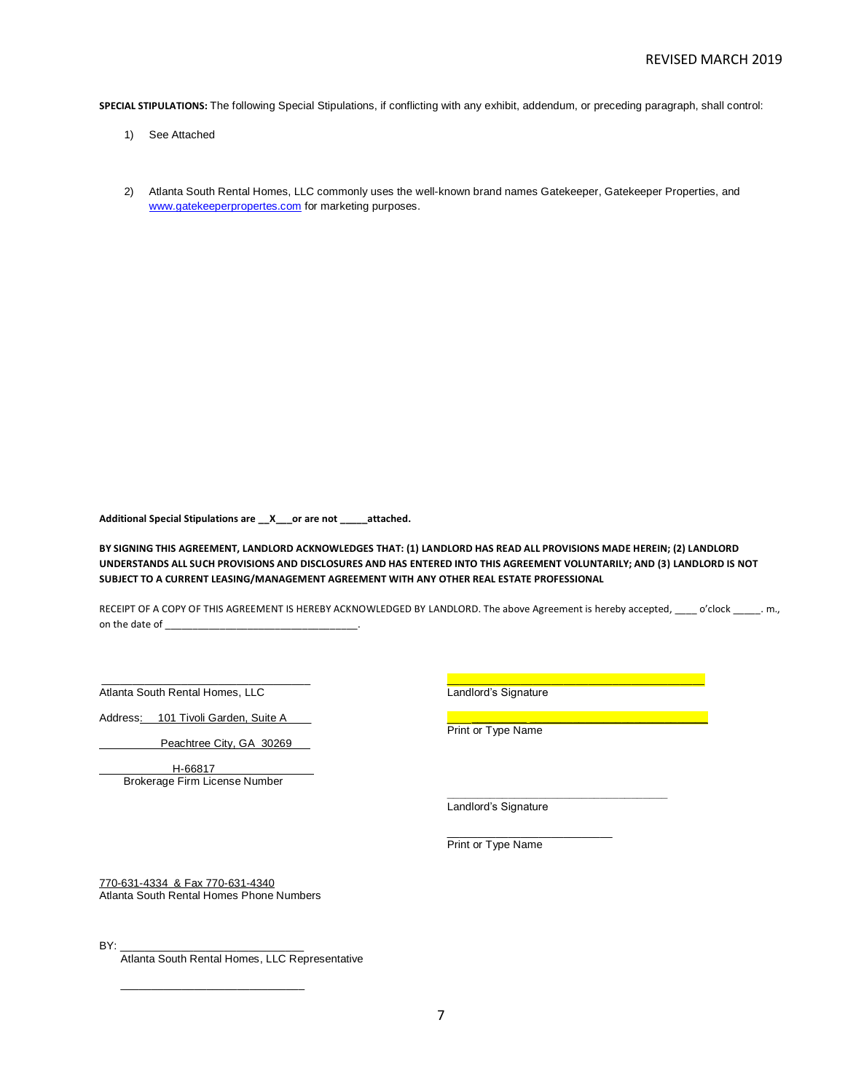**SPECIAL STIPULATIONS:** The following Special Stipulations, if conflicting with any exhibit, addendum, or preceding paragraph, shall control:

- 1) See Attached
- 2) Atlanta South Rental Homes, LLC commonly uses the well-known brand names Gatekeeper, Gatekeeper Properties, and [www.gatekeeperpropertes.com](http://www.gatekeeperpropertes.com/) for marketing purposes.

**Additional Special Stipulations are \_\_X\_\_\_or are not \_\_\_\_\_attached.** 

**BY SIGNING THIS AGREEMENT, LANDLORD ACKNOWLEDGES THAT: (1) LANDLORD HAS READ ALL PROVISIONS MADE HEREIN; (2) LANDLORD UNDERSTANDS ALL SUCH PROVISIONS AND DISCLOSURES AND HAS ENTERED INTO THIS AGREEMENT VOLUNTARILY; AND (3) LANDLORD IS NOT SUBJECT TO A CURRENT LEASING/MANAGEMENT AGREEMENT WITH ANY OTHER REAL ESTATE PROFESSIONAL**

RECEIPT OF A COPY OF THIS AGREEMENT IS HEREBY ACKNOWLEDGED BY LANDLORD. The above Agreement is hereby accepted, \_\_\_\_ o'clock \_\_\_\_\_. m., on the date of

Atlanta South Rental Homes, LLC **Landlord's Signature** 

Address: \_\_101 Tivoli Garden, Suite A\_\_\_\_ \_\_\_\_**\_\_\_\_\_\_\_\_\_ \_\_\_\_\_\_\_\_\_\_\_\_\_\_\_\_\_\_\_\_\_\_\_\_\_\_\_\_\_**

Peachtree City, GA 30269

H-66817\_ Brokerage Firm License Number

\_\_\_\_\_\_\_\_\_\_\_\_\_\_\_\_\_\_\_\_\_\_\_\_\_\_\_\_\_\_\_\_\_\_ \_\_\_\_\_\_\_\_\_\_\_\_\_\_\_\_\_\_\_\_\_\_\_\_\_\_\_\_\_\_\_\_\_\_\_\_\_\_\_\_\_\_

Print or Type Name

Landlord's Signature

**\_\_\_\_\_\_\_\_\_\_\_\_\_\_\_\_\_\_\_\_\_\_\_\_\_\_\_\_\_\_\_\_\_\_\_\_** 

Print or Type Name

\_\_\_\_\_\_\_\_\_\_\_\_\_\_\_\_\_\_\_\_\_\_\_\_\_\_\_

770-631-4334 & Fax 770-631-4340 Atlanta South Rental Homes Phone Numbers

 $\frac{1}{2}$  ,  $\frac{1}{2}$  ,  $\frac{1}{2}$  ,  $\frac{1}{2}$  ,  $\frac{1}{2}$  ,  $\frac{1}{2}$  ,  $\frac{1}{2}$  ,  $\frac{1}{2}$  ,  $\frac{1}{2}$  ,  $\frac{1}{2}$  ,  $\frac{1}{2}$  ,  $\frac{1}{2}$  ,  $\frac{1}{2}$  ,  $\frac{1}{2}$  ,  $\frac{1}{2}$  ,  $\frac{1}{2}$  ,  $\frac{1}{2}$  ,  $\frac{1}{2}$  ,  $\frac{1$ 

BY: \_\_\_\_\_\_\_\_\_\_\_\_\_\_\_\_\_\_\_\_\_\_\_\_\_\_\_\_\_\_

Atlanta South Rental Homes, LLC Representative